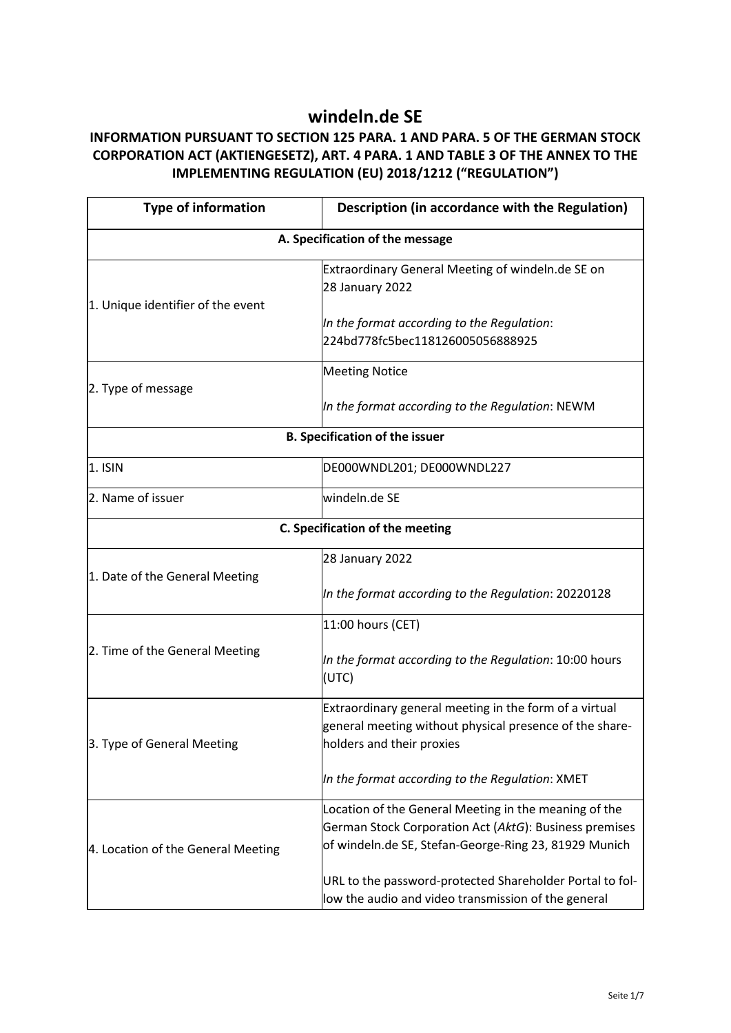## **windeln.de SE**

## **INFORMATION PURSUANT TO SECTION 125 PARA. 1 AND PARA. 5 OF THE GERMAN STOCK CORPORATION ACT (AKTIENGESETZ), ART. 4 PARA. 1 AND TABLE 3 OF THE ANNEX TO THE IMPLEMENTING REGULATION (EU) 2018/1212 ("REGULATION")**

| <b>Type of information</b>            | Description (in accordance with the Regulation)                                                                                                                          |  |
|---------------------------------------|--------------------------------------------------------------------------------------------------------------------------------------------------------------------------|--|
| A. Specification of the message       |                                                                                                                                                                          |  |
| 1. Unique identifier of the event     | Extraordinary General Meeting of windeln.de SE on<br>28 January 2022                                                                                                     |  |
|                                       | In the format according to the Regulation:<br>224bd778fc5bec118126005056888925                                                                                           |  |
| 2. Type of message                    | <b>Meeting Notice</b>                                                                                                                                                    |  |
|                                       | In the format according to the Regulation: NEWM                                                                                                                          |  |
| <b>B. Specification of the issuer</b> |                                                                                                                                                                          |  |
| 1. ISIN                               | DE000WNDL201; DE000WNDL227                                                                                                                                               |  |
| 2. Name of issuer                     | windeln.de SE                                                                                                                                                            |  |
| C. Specification of the meeting       |                                                                                                                                                                          |  |
| 1. Date of the General Meeting        | 28 January 2022                                                                                                                                                          |  |
|                                       | In the format according to the Regulation: 20220128                                                                                                                      |  |
| 2. Time of the General Meeting        | 11:00 hours (CET)                                                                                                                                                        |  |
|                                       | In the format according to the Regulation: 10:00 hours<br>(UTC)                                                                                                          |  |
| 3. Type of General Meeting            | Extraordinary general meeting in the form of a virtual<br>general meeting without physical presence of the share-<br>holders and their proxies                           |  |
|                                       | In the format according to the Regulation: XMET                                                                                                                          |  |
| 4. Location of the General Meeting    | Location of the General Meeting in the meaning of the<br>German Stock Corporation Act (AktG): Business premises<br>of windeln.de SE, Stefan-George-Ring 23, 81929 Munich |  |
|                                       | URL to the password-protected Shareholder Portal to fol-<br>low the audio and video transmission of the general                                                          |  |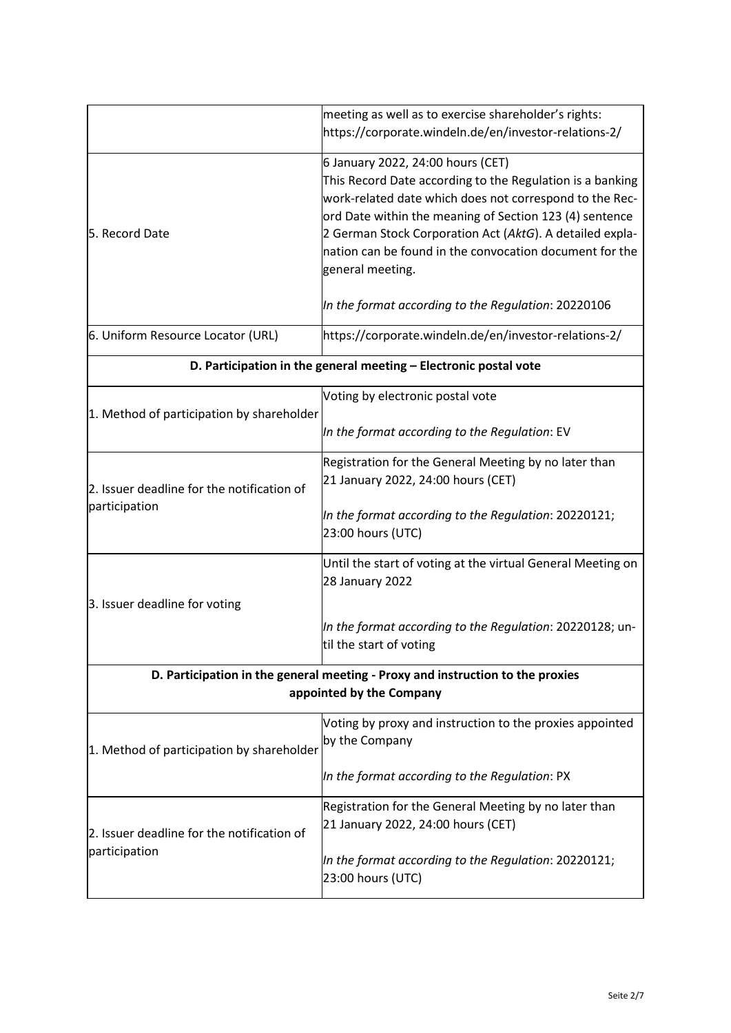|                                                                                                            | meeting as well as to exercise shareholder's rights:<br>https://corporate.windeln.de/en/investor-relations-2/                                                                                                                                                                                                                                                   |
|------------------------------------------------------------------------------------------------------------|-----------------------------------------------------------------------------------------------------------------------------------------------------------------------------------------------------------------------------------------------------------------------------------------------------------------------------------------------------------------|
| 5. Record Date                                                                                             | 6 January 2022, 24:00 hours (CET)<br>This Record Date according to the Regulation is a banking<br>work-related date which does not correspond to the Rec-<br>ord Date within the meaning of Section 123 (4) sentence<br>2 German Stock Corporation Act (AktG). A detailed expla-<br>nation can be found in the convocation document for the<br>general meeting. |
|                                                                                                            | In the format according to the Regulation: 20220106                                                                                                                                                                                                                                                                                                             |
| 6. Uniform Resource Locator (URL)                                                                          | https://corporate.windeln.de/en/investor-relations-2/                                                                                                                                                                                                                                                                                                           |
|                                                                                                            | D. Participation in the general meeting - Electronic postal vote                                                                                                                                                                                                                                                                                                |
| 1. Method of participation by shareholder                                                                  | Voting by electronic postal vote                                                                                                                                                                                                                                                                                                                                |
|                                                                                                            | In the format according to the Regulation: EV                                                                                                                                                                                                                                                                                                                   |
|                                                                                                            | Registration for the General Meeting by no later than                                                                                                                                                                                                                                                                                                           |
| 2. Issuer deadline for the notification of                                                                 | 21 January 2022, 24:00 hours (CET)                                                                                                                                                                                                                                                                                                                              |
| participation                                                                                              | In the format according to the Regulation: 20220121;<br>23:00 hours (UTC)                                                                                                                                                                                                                                                                                       |
|                                                                                                            | Until the start of voting at the virtual General Meeting on<br>28 January 2022                                                                                                                                                                                                                                                                                  |
| 3. Issuer deadline for voting                                                                              |                                                                                                                                                                                                                                                                                                                                                                 |
|                                                                                                            | In the format according to the Regulation: 20220128; un-<br>til the start of voting                                                                                                                                                                                                                                                                             |
| D. Participation in the general meeting - Proxy and instruction to the proxies<br>appointed by the Company |                                                                                                                                                                                                                                                                                                                                                                 |
|                                                                                                            |                                                                                                                                                                                                                                                                                                                                                                 |
| 1. Method of participation by shareholder                                                                  | Voting by proxy and instruction to the proxies appointed<br>by the Company                                                                                                                                                                                                                                                                                      |
|                                                                                                            | In the format according to the Regulation: PX                                                                                                                                                                                                                                                                                                                   |
| 2. Issuer deadline for the notification of<br>participation                                                | Registration for the General Meeting by no later than<br>21 January 2022, 24:00 hours (CET)                                                                                                                                                                                                                                                                     |
|                                                                                                            | In the format according to the Regulation: 20220121;<br>23:00 hours (UTC)                                                                                                                                                                                                                                                                                       |
|                                                                                                            |                                                                                                                                                                                                                                                                                                                                                                 |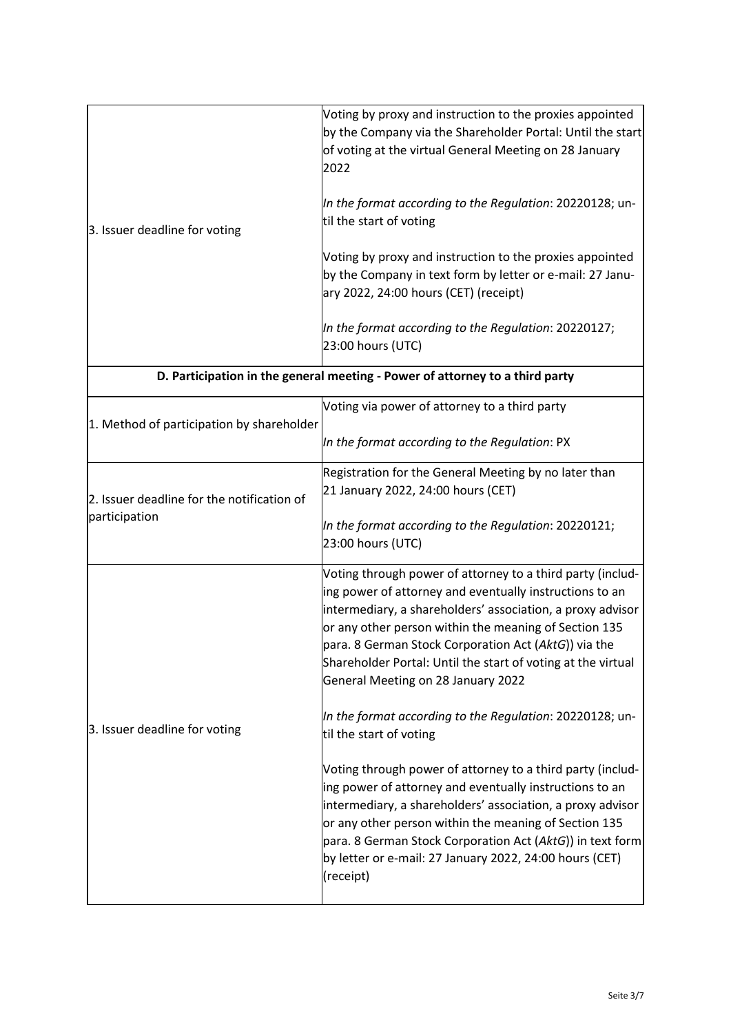| 3. Issuer deadline for voting | Voting by proxy and instruction to the proxies appointed<br>by the Company via the Shareholder Portal: Until the start<br>of voting at the virtual General Meeting on 28 January<br>2022 |
|-------------------------------|------------------------------------------------------------------------------------------------------------------------------------------------------------------------------------------|
|                               | In the format according to the Regulation: 20220128; un-<br>til the start of voting                                                                                                      |
|                               | Voting by proxy and instruction to the proxies appointed<br>by the Company in text form by letter or e-mail: 27 Janu-<br>ary 2022, 24:00 hours (CET) (receipt)                           |
|                               | In the format according to the Regulation: 20220127;<br>23:00 hours (UTC)                                                                                                                |

| D. Participation in the general meeting - Power of attorney to a third party |                                                                                                                                                                                                                                                                                                                                                                                                                                                                                                                                                                                                                                                                                                                                                                                                                                                                           |
|------------------------------------------------------------------------------|---------------------------------------------------------------------------------------------------------------------------------------------------------------------------------------------------------------------------------------------------------------------------------------------------------------------------------------------------------------------------------------------------------------------------------------------------------------------------------------------------------------------------------------------------------------------------------------------------------------------------------------------------------------------------------------------------------------------------------------------------------------------------------------------------------------------------------------------------------------------------|
| 1. Method of participation by shareholder                                    | Voting via power of attorney to a third party                                                                                                                                                                                                                                                                                                                                                                                                                                                                                                                                                                                                                                                                                                                                                                                                                             |
|                                                                              | In the format according to the Regulation: PX                                                                                                                                                                                                                                                                                                                                                                                                                                                                                                                                                                                                                                                                                                                                                                                                                             |
| 2. Issuer deadline for the notification of<br>participation                  | Registration for the General Meeting by no later than<br>21 January 2022, 24:00 hours (CET)                                                                                                                                                                                                                                                                                                                                                                                                                                                                                                                                                                                                                                                                                                                                                                               |
|                                                                              | In the format according to the Regulation: 20220121;<br>23:00 hours (UTC)                                                                                                                                                                                                                                                                                                                                                                                                                                                                                                                                                                                                                                                                                                                                                                                                 |
| 3. Issuer deadline for voting                                                | Voting through power of attorney to a third party (includ-<br>ing power of attorney and eventually instructions to an<br>intermediary, a shareholders' association, a proxy advisor<br>or any other person within the meaning of Section 135<br>para. 8 German Stock Corporation Act (AktG)) via the<br>Shareholder Portal: Until the start of voting at the virtual<br>General Meeting on 28 January 2022<br>In the format according to the Regulation: 20220128; un-<br>til the start of voting<br>Voting through power of attorney to a third party (includ-<br>ing power of attorney and eventually instructions to an<br>intermediary, a shareholders' association, a proxy advisor<br>or any other person within the meaning of Section 135<br>para. 8 German Stock Corporation Act (AktG)) in text form<br>by letter or e-mail: 27 January 2022, 24:00 hours (CET) |
|                                                                              | (receipt)                                                                                                                                                                                                                                                                                                                                                                                                                                                                                                                                                                                                                                                                                                                                                                                                                                                                 |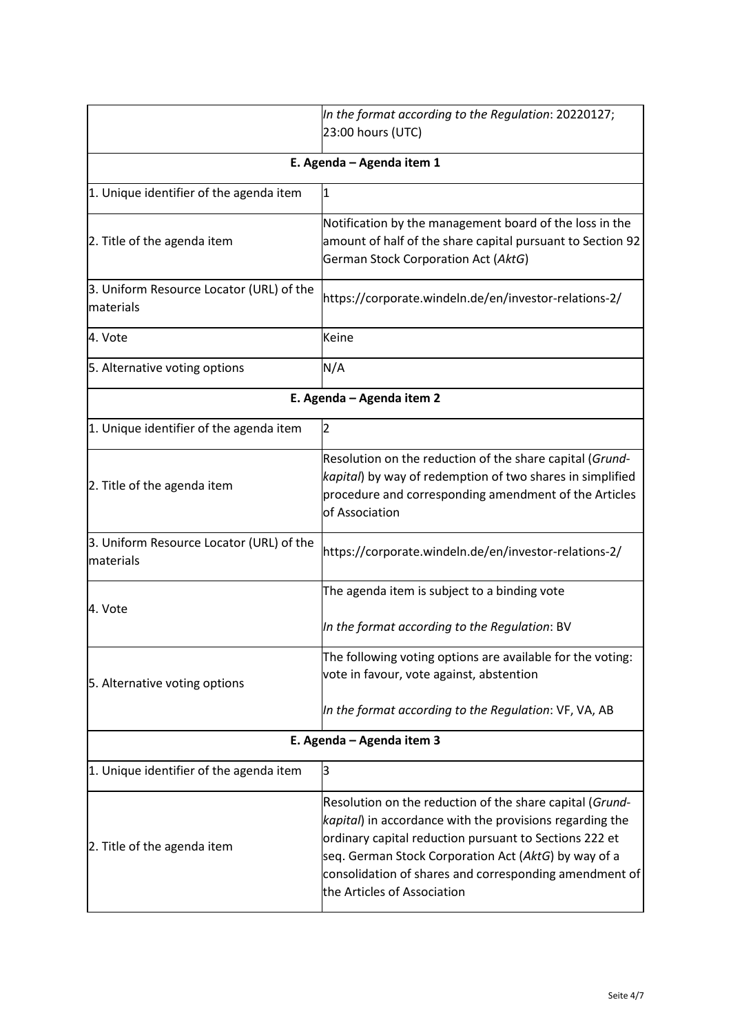|                                                       | In the format according to the Regulation: 20220127;                                                                                                                                                                                                                                                                            |
|-------------------------------------------------------|---------------------------------------------------------------------------------------------------------------------------------------------------------------------------------------------------------------------------------------------------------------------------------------------------------------------------------|
|                                                       | 23:00 hours (UTC)                                                                                                                                                                                                                                                                                                               |
| E. Agenda - Agenda item 1                             |                                                                                                                                                                                                                                                                                                                                 |
| 1. Unique identifier of the agenda item               | $\mathbf{1}$                                                                                                                                                                                                                                                                                                                    |
| 2. Title of the agenda item                           | Notification by the management board of the loss in the<br>amount of half of the share capital pursuant to Section 92<br>German Stock Corporation Act (AktG)                                                                                                                                                                    |
| 3. Uniform Resource Locator (URL) of the<br>materials | https://corporate.windeln.de/en/investor-relations-2/                                                                                                                                                                                                                                                                           |
| 4. Vote                                               | Keine                                                                                                                                                                                                                                                                                                                           |
| 5. Alternative voting options                         | N/A                                                                                                                                                                                                                                                                                                                             |
| E. Agenda - Agenda item 2                             |                                                                                                                                                                                                                                                                                                                                 |
| 1. Unique identifier of the agenda item               | $\overline{2}$                                                                                                                                                                                                                                                                                                                  |
| 2. Title of the agenda item                           | Resolution on the reduction of the share capital (Grund-<br>kapital) by way of redemption of two shares in simplified<br>procedure and corresponding amendment of the Articles<br>of Association                                                                                                                                |
| 3. Uniform Resource Locator (URL) of the<br>materials | https://corporate.windeln.de/en/investor-relations-2/                                                                                                                                                                                                                                                                           |
| 4. Vote                                               | The agenda item is subject to a binding vote<br>In the format according to the Regulation: BV                                                                                                                                                                                                                                   |
| 5. Alternative voting options                         | The following voting options are available for the voting:<br>vote in favour, vote against, abstention<br>In the format according to the Regulation: VF, VA, AB                                                                                                                                                                 |
| E. Agenda - Agenda item 3                             |                                                                                                                                                                                                                                                                                                                                 |
| 1. Unique identifier of the agenda item               | 3                                                                                                                                                                                                                                                                                                                               |
| 2. Title of the agenda item                           | Resolution on the reduction of the share capital (Grund-<br>kapital) in accordance with the provisions regarding the<br>ordinary capital reduction pursuant to Sections 222 et<br>seq. German Stock Corporation Act (AktG) by way of a<br>consolidation of shares and corresponding amendment of<br>the Articles of Association |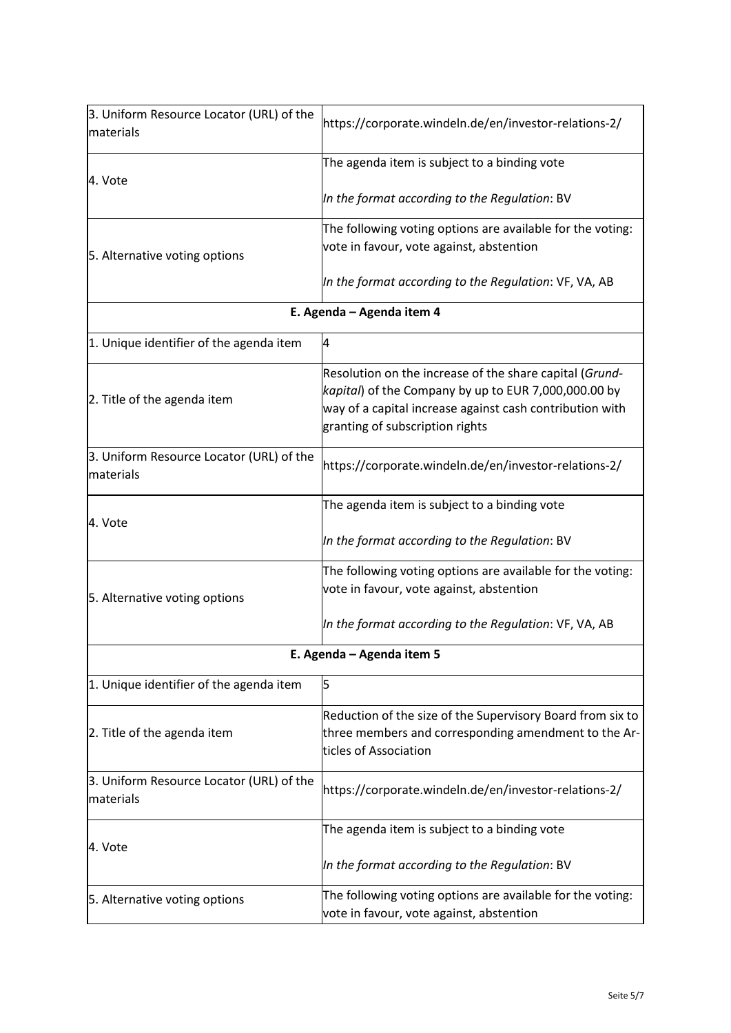| 3. Uniform Resource Locator (URL) of the<br>materials | https://corporate.windeln.de/en/investor-relations-2/                                                                                                                                                          |  |  |
|-------------------------------------------------------|----------------------------------------------------------------------------------------------------------------------------------------------------------------------------------------------------------------|--|--|
| 4. Vote                                               | The agenda item is subject to a binding vote                                                                                                                                                                   |  |  |
|                                                       | In the format according to the Regulation: BV                                                                                                                                                                  |  |  |
| 5. Alternative voting options                         | The following voting options are available for the voting:<br>vote in favour, vote against, abstention                                                                                                         |  |  |
|                                                       | In the format according to the Regulation: VF, VA, AB                                                                                                                                                          |  |  |
|                                                       | E. Agenda - Agenda item 4                                                                                                                                                                                      |  |  |
| 1. Unique identifier of the agenda item               | 4                                                                                                                                                                                                              |  |  |
| 2. Title of the agenda item                           | Resolution on the increase of the share capital (Grund-<br>kapital) of the Company by up to EUR 7,000,000.00 by<br>way of a capital increase against cash contribution with<br>granting of subscription rights |  |  |
| 3. Uniform Resource Locator (URL) of the<br>materials | https://corporate.windeln.de/en/investor-relations-2/                                                                                                                                                          |  |  |
| 4. Vote                                               | The agenda item is subject to a binding vote                                                                                                                                                                   |  |  |
|                                                       | In the format according to the Regulation: BV                                                                                                                                                                  |  |  |
| 5. Alternative voting options                         | The following voting options are available for the voting:<br>vote in favour, vote against, abstention                                                                                                         |  |  |
|                                                       | In the format according to the Regulation: VF, VA, AB                                                                                                                                                          |  |  |
|                                                       | E. Agenda - Agenda item 5                                                                                                                                                                                      |  |  |
| 1. Unique identifier of the agenda item               | 5                                                                                                                                                                                                              |  |  |
| 2. Title of the agenda item                           | Reduction of the size of the Supervisory Board from six to<br>three members and corresponding amendment to the Ar-<br>ticles of Association                                                                    |  |  |
| 3. Uniform Resource Locator (URL) of the<br>materials | https://corporate.windeln.de/en/investor-relations-2/                                                                                                                                                          |  |  |
| 4. Vote                                               | The agenda item is subject to a binding vote                                                                                                                                                                   |  |  |
|                                                       | In the format according to the Regulation: BV                                                                                                                                                                  |  |  |
| 5. Alternative voting options                         | The following voting options are available for the voting:<br>vote in favour, vote against, abstention                                                                                                         |  |  |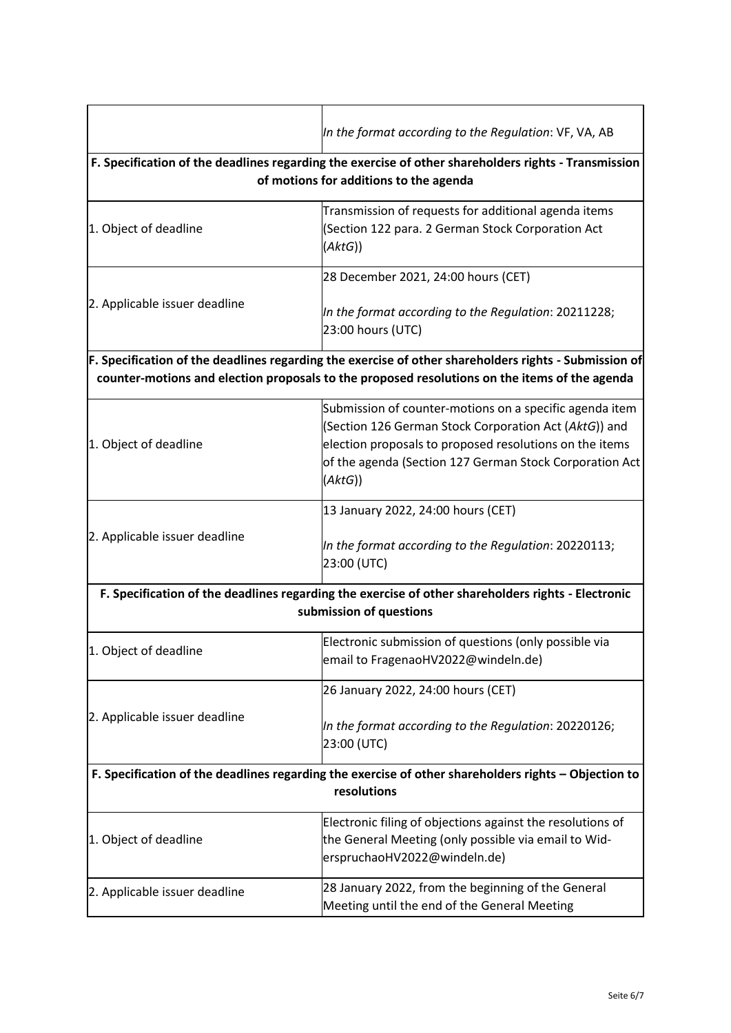|                                                                                                                                                                                                        | In the format according to the Regulation: VF, VA, AB                                                                                                                                                                                             |
|--------------------------------------------------------------------------------------------------------------------------------------------------------------------------------------------------------|---------------------------------------------------------------------------------------------------------------------------------------------------------------------------------------------------------------------------------------------------|
| F. Specification of the deadlines regarding the exercise of other shareholders rights - Transmission<br>of motions for additions to the agenda                                                         |                                                                                                                                                                                                                                                   |
| 1. Object of deadline                                                                                                                                                                                  | Transmission of requests for additional agenda items<br>(Section 122 para. 2 German Stock Corporation Act<br>(AktG))                                                                                                                              |
|                                                                                                                                                                                                        | 28 December 2021, 24:00 hours (CET)                                                                                                                                                                                                               |
| 2. Applicable issuer deadline                                                                                                                                                                          | In the format according to the Regulation: 20211228;<br>23:00 hours (UTC)                                                                                                                                                                         |
| F. Specification of the deadlines regarding the exercise of other shareholders rights - Submission of<br>counter-motions and election proposals to the proposed resolutions on the items of the agenda |                                                                                                                                                                                                                                                   |
| 1. Object of deadline                                                                                                                                                                                  | Submission of counter-motions on a specific agenda item<br>(Section 126 German Stock Corporation Act (AktG)) and<br>election proposals to proposed resolutions on the items<br>of the agenda (Section 127 German Stock Corporation Act<br>(AktG)) |
| 2. Applicable issuer deadline                                                                                                                                                                          | 13 January 2022, 24:00 hours (CET)                                                                                                                                                                                                                |
|                                                                                                                                                                                                        | In the format according to the Regulation: 20220113;<br>23:00 (UTC)                                                                                                                                                                               |
| F. Specification of the deadlines regarding the exercise of other shareholders rights - Electronic<br>submission of questions                                                                          |                                                                                                                                                                                                                                                   |
| 1. Object of deadline                                                                                                                                                                                  | Electronic submission of questions (only possible via<br>email to FragenaoHV2022@windeln.de)                                                                                                                                                      |
|                                                                                                                                                                                                        | 26 January 2022, 24:00 hours (CET)                                                                                                                                                                                                                |
| 2. Applicable issuer deadline                                                                                                                                                                          | In the format according to the Regulation: 20220126;<br>23:00 (UTC)                                                                                                                                                                               |
| F. Specification of the deadlines regarding the exercise of other shareholders rights - Objection to                                                                                                   |                                                                                                                                                                                                                                                   |
|                                                                                                                                                                                                        | resolutions                                                                                                                                                                                                                                       |
| 1. Object of deadline                                                                                                                                                                                  | Electronic filing of objections against the resolutions of<br>the General Meeting (only possible via email to Wid-<br>erspruchaoHV2022@windeln.de)                                                                                                |
| 2. Applicable issuer deadline                                                                                                                                                                          | 28 January 2022, from the beginning of the General<br>Meeting until the end of the General Meeting                                                                                                                                                |